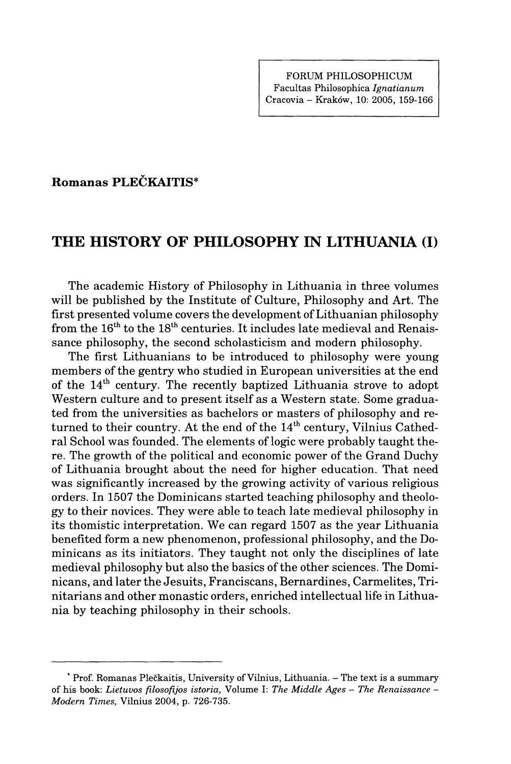## **Romanas PLECKAITIS\***

## **THE HISTORY OF PHILOSOPHY IN LITHUANIA (I)**

The academic History of Philosophy in Lithuania in three volumes will be published by the Institute of Culture, Philosophy and Art. The first presented volume covers the development of Lithuanian philosophy from the  $16^{\text{th}}$  to the  $18^{\text{th}}$  centuries. It includes late medieval and Renaissance philosophy, the second scholasticism and modern philosophy.

The first Lithuanians to be introduced to philosophy were young members of the gentry who studied in European universities at the end of the  $14^{\text{th}}$  century. The recently baptized Lithuania strove to adopt Western culture and to present itself as a Western state. Some graduated from the universities as bachelors or masters of philosophy and returned to their country. At the end of the  $14^{\text{th}}$  century, Vilnius Cathedral School was founded. The elements of logic were probably taught there. The growth of the political and economic power of the Grand Duchy of Lithuania brought about the need for higher education. That need was significantly increased by the growing activity of various religious orders. In 1507 the Dominicans started teaching philosophy and theology to their novices. They were able to teach late medieval philosophy in its thomistic interpretation. We can regard 1507 as the year Lithuania benefited form a new phenomenon, professional philosophy, and the Dominicans as its initiators. They taught not only the disciplines of late medieval philosophy but also the basics of the other sciences. The Dominicans, and later the Jesuits, Franciscans, Bernardines, Carmelites, Trinitarians and other monastic orders, enriched intellectual life in Lithuania by teaching philosophy in their schools.

**<sup>\*</sup> Prof. Romanas Pleckaitis, University of Vilnius, Lithuania. - The text is a summary of his book:** *Lietuvos filosofijos istoria,* **Volume I:** *The Middle Ages - The Renaissance - Modern Times,* **Vilnius 2004, p. 726-735.**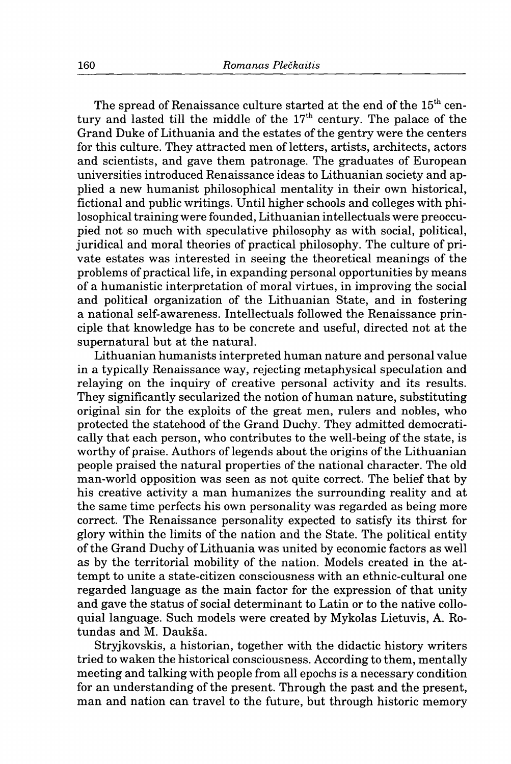The spread of Renaissance culture started at the end of the 15<sup>th</sup> century and lasted till the middle of the  $17<sup>th</sup>$  century. The palace of the Grand Duke of Lithuania and the estates of the gentry were the centers for this culture. They attracted men of letters, artists, architects, actors and scientists, and gave them patronage. The graduates of European universities introduced Renaissance ideas to Lithuanian society and applied a new humanist philosophical mentality in their own historical, fictional and public writings. Until higher schools and colleges with philosophical training were founded, Lithuanian intellectuals were preoccupied not so much with speculative philosophy as with social, political, juridical and moral theories of practical philosophy. The culture of private estates was interested in seeing the theoretical meanings of the problems of practical life, in expanding personal opportunities by means of a humanistic interpretation of moral virtues, in improving the social and political organization of the Lithuanian State, and in fostering a national self-awareness. Intellectuals followed the Renaissance principle that knowledge has to be concrete and useful, directed not at the supernatural but at the natural.

Lithuanian humanists interpreted human nature and personal value in a typically Renaissance way, rejecting metaphysical speculation and relaying on the inquiry of creative personal activity and its results. They significantly secularized the notion of human nature, substituting original sin for the exploits of the great men, rulers and nobles, who protected the statehood of the Grand Duchy. They admitted democratically that each person, who contributes to the well-being of the state, is worthy of praise. Authors of legends about the origins of the Lithuanian people praised the natural properties of the national character. The old man-world opposition was seen as not quite correct. The belief that by his creative activity a man humanizes the surrounding reality and at the same time perfects his own personality was regarded as being more correct. The Renaissance personality expected to satisfy its thirst for glory within the limits of the nation and the State. The political entity of the Grand Duchy of Lithuania was united by economic factors as well as by the territorial mobility of the nation. Models created in the attempt to unite a state-citizen consciousness with an ethnic-cultural one regarded language as the main factor for the expression of that unity and gave the status of social determinant to Latin or to the native colloquial language. Such models were created by Mykolas Lietuvis, A. Rotundas and M. Daukša.

Stryjkovskis, a historian, together with the didactic history writers tried to waken the historical consciousness. According to them, mentally meeting and talking with people from all epochs is a necessary condition for an understanding of the present. Through the past and the present, man and nation can travel to the future, but through historic memory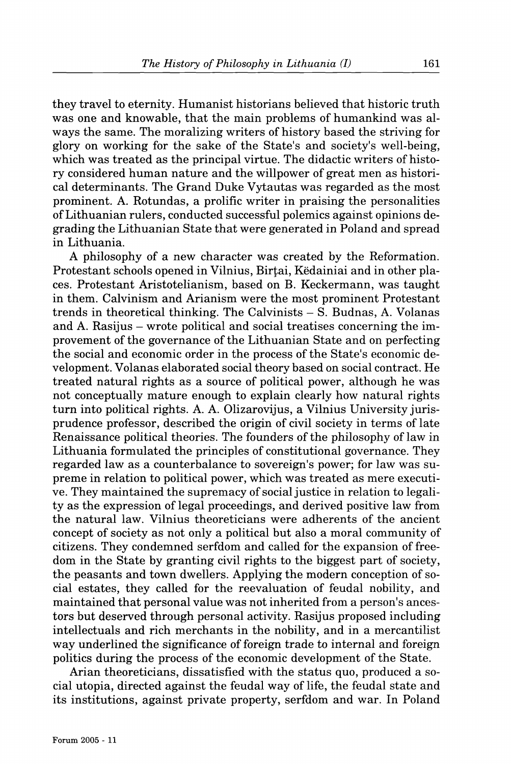they travel to eternity. Humanist historians believed that historic truth was one and knowable, that the main problems of humankind was always the same. The moralizing writers of history based the striving for glory on working for the sake of the State's and society's well-being, which was treated as the principal virtue. The didactic writers of history considered human nature and the willpower of great men as historical determinants. The Grand Duke Vytautas was regarded as the most prominent. A. Rotundas, a prolific writer in praising the personalities of Lithuanian rulers, conducted successful polemics against opinions degrading the Lithuanian State that were generated in Poland and spread in Lithuania.

A philosophy of a new character was created by the Reformation. Protestant schools opened in Vilnius, Birfai, Kedainiai and in other places. Protestant Aristotelianism, based on B. Keckermann, was taught in them. Calvinism and Arianism were the most prominent Protestant trends in theoretical thinking. The Calvinists - S. Budnas, A. Volanas and A. Rasijus – wrote political and social treatises concerning the improvement of the governance of the Lithuanian State and on perfecting the social and economic order in the process of the State's economic development. Volanas elaborated social theory based on social contract. He treated natural rights as a source of political power, although he was not conceptually mature enough to explain clearly how natural rights turn into political rights. A. A. Olizarovijus, a Vilnius University jurisprudence professor, described the origin of civil society in terms of late Renaissance political theories. The founders of the philosophy of law in Lithuania formulated the principles of constitutional governance. They regarded law as a counterbalance to sovereign's power; for law was supreme in relation to political power, which was treated as mere executive. They maintained the supremacy of social justice in relation to legality as the expression of legal proceedings, and derived positive law from the natural law. Vilnius theoreticians were adherents of the ancient concept of society as not only a political but also a moral community of citizens. They condemned serfdom and called for the expansion of freedom in the State by granting civil rights to the biggest part of society, the peasants and town dwellers. Applying the modern conception of social estates, they called for the reevaluation of feudal nobility, and maintained that personal value was not inherited from a person's ancestors but deserved through personal activity. Rasijus proposed including intellectuals and rich merchants in the nobility, and in a mercantilist way underlined the significance of foreign trade to internal and foreign politics during the process of the economic development of the State.

Arian theoreticians, dissatisfied with the status quo, produced a social **Utopia,** directed against the feudal way of life, the feudal state and its institutions, against private property, serfdom and war. In Poland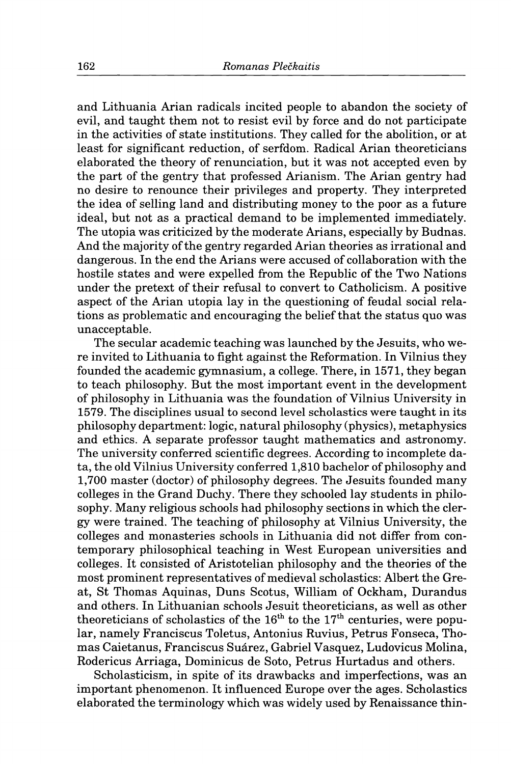and Lithuania Arian radicals incited people to abandon the society of evil, and taught them not to resist evil by force and do not participate in the activities of state institutions. They called for the abolition, or at least for significant reduction, of serfdom. Radical Arian theoreticians elaborated the theory of renunciation, but it was not accepted even by the part of the gentry that professed Arianism. The Arian gentry had no desire to renounce their privileges and property. They interpreted the idea of selling land and distributing money to the poor as a future ideal, but not as a practical demand to be implemented immediately. The **Utopia** was criticized by the moderate Arians, especially by Budnas. And the majority of the gentry regarded Arian theories as irrational and dangerous. In the end the Arians were accused of collaboration with the hostile states and were expelled from the Republic of the Two Nations under the pretext of their refusal to convert to Catholicism. A positive aspect of the Arian utopia lay in the questioning of feudal social relations as problematic and encouraging the belief that the status quo was unacceptable.

The secular academic teaching was launched by the Jesuits, who were invited to Lithuania to fight against the Reformation. In Vilnius they founded the academic gymnasium, a college. There, in 1571, they began to teach philosophy. But the most important event in the development of philosophy in Lithuania was the foundation of Vilnius University in 1579. The disciplines usual to second level scholastics were taught in its philosophy department: logic, natural philosophy (physics), metaphysics and ethics. A separate professor taught mathematics and astronomy. The university conferred scientific degrees. According to incomplete data, the old Vilnius University conferred 1,810 bachelor of philosophy and 1,700 master (doctor) of philosophy degrees. The Jesuits founded many colleges in the Grand Duchy. There they schooled lay students in philosophy. Many religious schools had philosophy sections in which the clergy were trained. The teaching of philosophy at Vilnius University, the colleges and monasteries schools in Lithuania did not differ from contemporary philosophical teaching in West European universities and colleges. It consisted of Aristotelian philosophy and the theories of the most prominent representatives of medieval scholastics: Albert the Great, St Thomas Aquinas, Duns Scotus, William of Ockham, Durandus and others. In Lithuanian schools Jesuit theoreticians, as well as other theoreticians of scholastics of the  $16^{\text{th}}$  to the  $17^{\text{th}}$  centuries, were popular, namely Franciscus Toletus, Antonius Ruvius, Petrus Fonseca, Thomas Caietanus, Franciscus Suarez, Gabriel Vasquez, Ludovicus Molina, Rodericus Arriaga, Dominicus de Soto, Petrus Hurtadus and others.

Scholasticism, in spite of its drawbacks and imperfections, was an important phenomenon. It influenced Europe over the ages. Scholastics elaborated the terminology which was widely used by Renaissance thin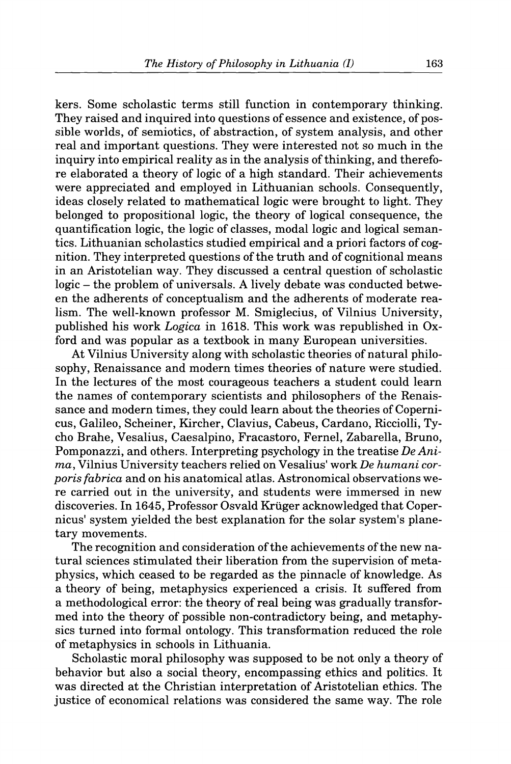kers. Some scholastic terms still function in contemporary thinking. They raised and inquired into questions of essence and existence, of possible worlds, of semiotics, of abstraction, of system analysis, and other real and important questions. They were interested not so much in the inquiry into empirical reality as in the analysis of thinking, and therefore elaborated a theory of logic of a high standard. Their achievements were appreciated and employed in Lithuanian schools. Consequently, ideas closely related to mathematical logic were brought to light. They belonged to prepositional logic, the theory of logical consequence, the quantification logic, the logic of classes, modal logic and logical semantics. Lithuanian scholastics studied empirical and a priori factors of cognition. They interpreted questions of the truth and of cognitional means in an Aristotelian way. They discussed a central question of scholastic logic - the problem of universals. A lively debate was conducted between the adherents of conceptualism and the adherents of moderate realism. The well-known professor M. Smiglecius, of Vilnius University, published his work *Logica* in 1618. This work was republished in Oxford and was popular as a textbook in many European universities.

At Vilnius University along with scholastic theories of natural philosophy. Renaissance and modern times theories of nature were studied. In the lectures of the most courageous teachers a student could learn the names of contemporary scientists and philosophers of the Renaissance and modern times, they could learn about the theories of Copernicus, Galileo, Scheiner, Kircher, Clavius, Cabeus, Cardano, RiccioUi, Tycho Brahe, Vesalius, Caesalpino, Fracastoro, Fernel, Zabarella, Bruno, Pomponazzi, and others. Interpreting psychology in the treatise *DeAnima,* Vilnius University teachers relied on Vesalius' work De *humani corporis fabrica* and on his anatomical atlas. Astronomical observations were carried out in the university, and students were immersed in new discoveries. In 1645, Professor Osvald Krüger acknowledged that Copernicus' system yielded the best explanation for the solar system's planetary movements.

The recognition and consideration of the achievements of the new natural sciences stimulated their liberation from the supervision of metaphysics, which ceased to be regarded as the pinnacle of knowledge. As a theory of being, metaphysics experienced a crisis. It suffered from a methodological error: the theory of real being was gradually transformed into the theory of possible non-contradictory being, and metaphysics turned into formal ontology. This transformation reduced the role of metaphysics in schools in Lithuania.

Scholastic moral philosophy was supposed to be not only a theory of behavior but also a social theory, encompassing ethics and politics. It was directed at the Christian interpretation of Aristotelian ethics. The justice of economical relations was considered the same way. The role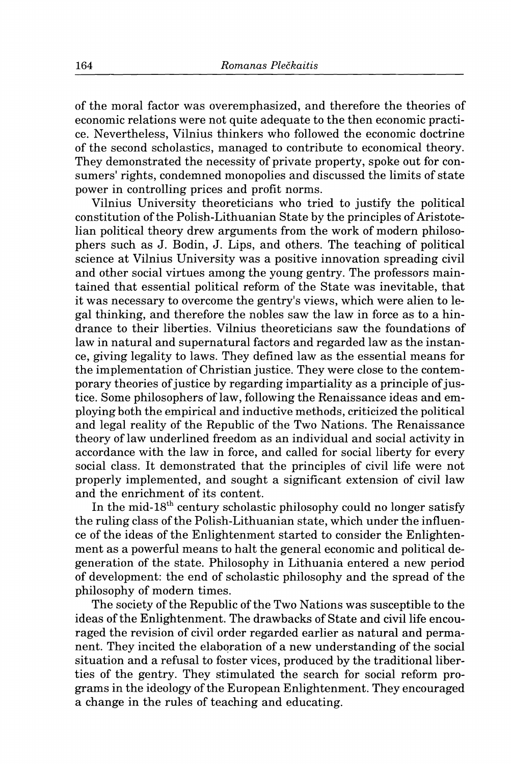of the moral factor was overemphasized, and therefore the theories of economic relations were not quite adequate to the then economic practice. Nevertheless, Vilnius thinkers who followed the economic doctrine of the second scholastics, managed to contribute to economical theory. They demonstrated the necessity of private property, spoke out for consumers' rights, condemned monopolies and discussed the limits of state power in controlling prices and profit norms.

Vilnius University theoreticians who tried to justify the political constitution of the Polish-Lithuanian State by the principles of Aristotelian political theory drew arguments from the work of modern philosophers such as J. Bodin, J. Lips, and others. The teaching of political science at Vilnius University was a positive innovation spreading civil and other social virtues among the young gentry. The professors maintained that essential political reform of the State was inevitable, that it was necessary to overcome the gentry's views, which were alien to legal thinking, and therefore the nobles saw the law in force as to a hindrance to their liberties. Vilnius theoreticians saw the foundations of law in natural and supernatural factors and regarded law as the instance, giving legality to laws. They defined law as the essential means for the implementation of Christian justice. They were close to the contemporary theories of justice by regarding impartiality as a principle of justice. Some philosophers of law, following the Renaissance ideas and employing both the empirical and inductive methods, criticized the political and legal reality of the Republic of the Two Nations. The Renaissance theory of law underlined freedom as an individual and social activity in accordance with the law in force, and called for social liberty for every social class. It demonstrated that the principles of civil life were not properly implemented, and sought a significant extension of civil law and the enrichment of its content.

In the mid-18<sup>th</sup> century scholastic philosophy could no longer satisfy the ruling class of the Polish-Lithuanian state, which under the influence of the ideas of the Enlightenment started to consider the Enlightenment as a powerful means to halt the general economic and political degeneration of the state. Philosophy in Lithuania entered a new period of development: the end of scholastic philosophy and the spread of the philosophy of modern times.

The society of the Republic of the Two Nations was susceptible to the ideas of the Enlightenment. The drawbacks of State and civil life encouraged the revision of civil order regarded earlier as natural and permanent. They incited the elaboration of a new understanding of the social situation and a refusal to foster vices, produced by the traditional liberties of the gentry. They stimulated the search for social reform programs in the ideology of the European Enlightenment. They encouraged a change in the rules of teaching and educating.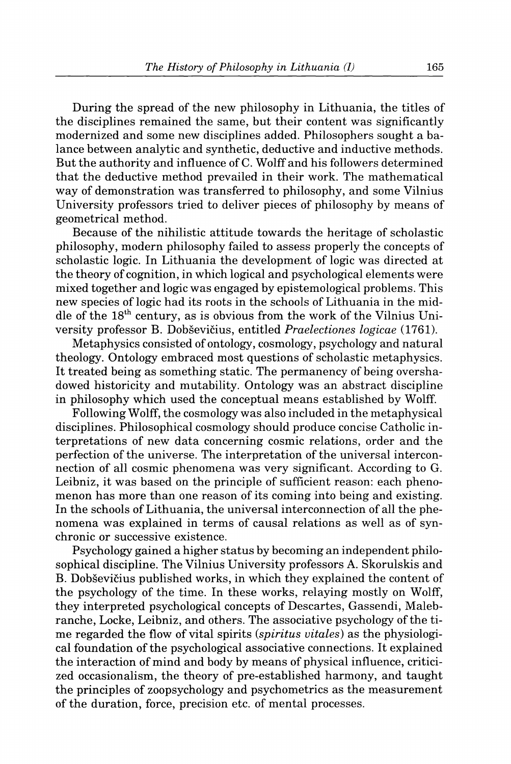During the spread of the new philosophy in Lithuania, the titles of the disciplines remained the same, but their content was significantly modernized and some new disciplines added. Philosophers sought a balance between analytic and synthetic, deductive and inductive methods. But the authority and influence of C. Wolff and his followers determined that the deductive method prevailed in their work. The mathematical way of demonstration was transferred to philosophy, and some Vilnius University professors tried to deliver pieces of philosophy by means of geometrical method.

Because of the nihilistic attitude towards the heritage of scholastic philosophy, modern philosophy failed to assess properly the concepts of scholastic logic. In Lithuania the development of logic was directed at the theory of cognition, in which logical and psychological elements were mixed together and logic was engaged by epistemological problems. This new species of logic had its roots in the schools of Lithuania in the middle of the  $18<sup>th</sup>$  century, as is obvious from the work of the Vilnius University professor B. Dobsevicius, entitled *Praelectiones logicae* (1761).

Metaphysics consisted of ontology, cosmology, psychology and natural theology. Ontology embraced most questions of scholastic metaphysics. It treated being as something static. The permanency of being overshadowed historicity and mutability. Ontology was an abstract discipline in philosophy which used the conceptual means established by Wolff.

Following Wolff, the cosmology was also included in the metaphysical disciplines. Philosophical cosmology should produce concise Catholic interpretations of new data concerning cosmic relations, order and the perfection of the universe. The interpretation of the universal interconnection of all cosmic phenomena was very significant. According to G. Leibniz, it was based on the principle of sufficient reason: each phenomenon has more than one reason of its coming into being and existing. In the schools of Lithuania, the universal interconnection of all the phenomena was explained in terms of causal relations as well as of synchronic or successive existence.

Psychology gained a higher status by becoming an independent philosophical discipline. The Vilnius University professors A. Skorulskis and B. Dobsevicius published works, in which they explained the content of the psychology of the time. In these works, relaying mostly on Wolff, they interpreted psychological concepts of Descartes, Gassendi, Malebranche, Locke, Leibniz, and others. The associative psychology of the time regarded the flow of vital spirits *(spiritus vitales)* as the physiological foundation of the psychological associative connections. It explained the interaction of mind and body by means of physical influence, criticized occasionalism, the theory of pre-established harmony, and taught the principles of zoopsychology and psychometrics as the measurement of the duration, force, precision etc. of mental processes.